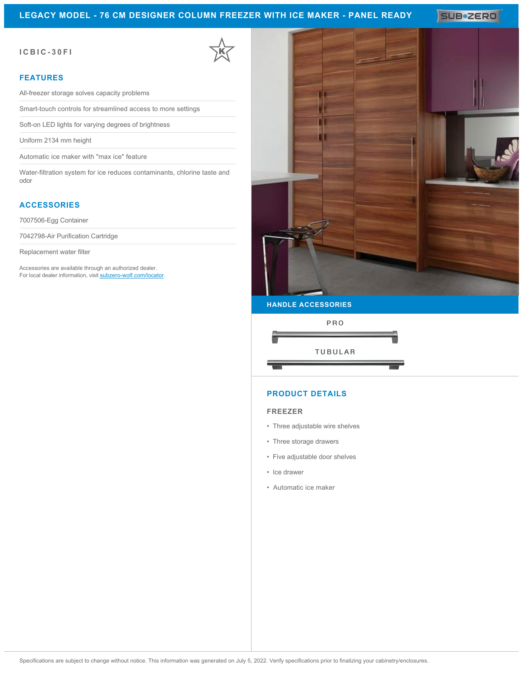## **LEGACY MODEL - 76 CM DESIGNER COLUMN FREEZER WITH ICE MAKER - PANEL READY**

SUB<sup>\*</sup>ZERO

### **ICBIC-30FI**

#### **FEATURES**

All-freezer storage solves capacity problems

Smart-touch controls for streamlined access to more settings

Soft-on LED lights for varying degrees of brightness

Uniform 2134 mm height

Automatic ice maker with "max ice" feature

Water-filtration system for ice reduces contaminants, chlorine taste and odor

## **ACCESSORIES**

7007506-Egg Container

7042798-Air Purification Cartridge

Replacement water filter

Accessories are available through an authorized dealer. For local dealer information, visit [subzero-wolf.com/locator.](http://www.subzero-wolf.com/locator)



**HANDLE ACCESSORIES**



## **PRODUCT DETAILS**

#### **FREEZER**

- Three adjustable wire shelves
- Three storage drawers
- Five adjustable door shelves
- Ice drawer
- Automatic ice maker